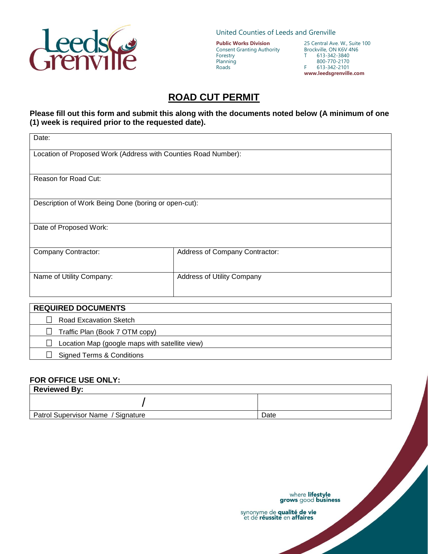

United Counties of Leeds and Grenville

**Public Works Division** Consent Granting Authority Forestry Planning Roads

25 Central Ave. W., Suite 100 Brockville, ON K6V 4N6<br>T 613-342-3840 613-342-3840 800-770-2170 F 613-342-2101 **www.leedsgrenville.com**

## **ROAD CUT PERMIT**

## **Please fill out this form and submit this along with the documents noted below (A minimum of one (1) week is required prior to the requested date).**

| Date:                                                          |                                   |  |
|----------------------------------------------------------------|-----------------------------------|--|
| Location of Proposed Work (Address with Counties Road Number): |                                   |  |
| Reason for Road Cut:                                           |                                   |  |
| Description of Work Being Done (boring or open-cut):           |                                   |  |
| Date of Proposed Work:                                         |                                   |  |
| Company Contractor:                                            | Address of Company Contractor:    |  |
| Name of Utility Company:                                       | <b>Address of Utility Company</b> |  |
| <b>REQUIRED DOCUMENTS</b>                                      |                                   |  |
| <b>Road Excavation Sketch</b>                                  |                                   |  |
| Traffic Plan (Book 7 OTM copy)                                 |                                   |  |
| Location Map (google maps with satellite view)                 |                                   |  |

## **FOR OFFICE USE ONLY:**

□ Signed Terms & Conditions

| <b>Reviewed By:</b>                |      |  |
|------------------------------------|------|--|
|                                    |      |  |
| Patrol Supervisor Name / Signature | Date |  |

where lifestyle<br>grows good business

synonyme de qualité de vie<br>et de réussite en affaires